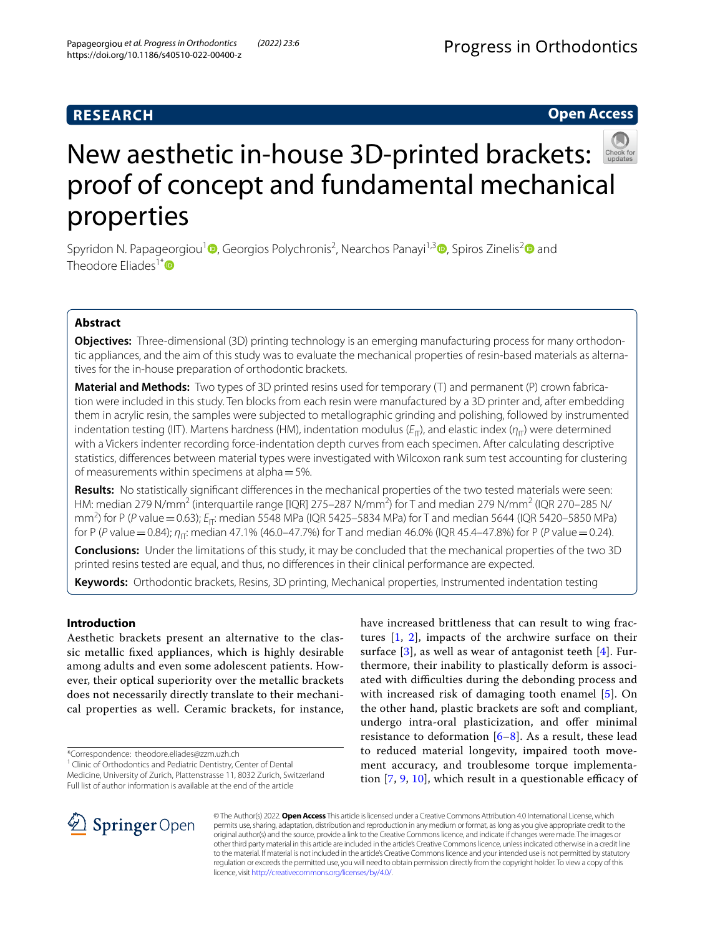## **RESEARCH**

## **Open Access**



# New aesthetic in-house 3D-printed brackets: proof of concept and fundamental mechanical properties

Spyridon N. Papageorgiou<sup>1</sup> (D[,](http://orcid.org/0000-0003-0025-9971) Georgios Polychronis<sup>[2](http://orcid.org/0000-0001-9188-7839)</sup>, Nearchos Panayi<sup>1,3</sup> (D, Spiros Zinelis<sup>2</sup> (D) and Theodore Eliades<sup>1[\\*](http://orcid.org/0000-0003-2313-4979)</sup> $\bullet$ 

## **Abstract**

**Objectives:** Three-dimensional (3D) printing technology is an emerging manufacturing process for many orthodontic appliances, and the aim of this study was to evaluate the mechanical properties of resin-based materials as alternatives for the in-house preparation of orthodontic brackets.

**Material and Methods:** Two types of 3D printed resins used for temporary (T) and permanent (P) crown fabrication were included in this study. Ten blocks from each resin were manufactured by a 3D printer and, after embedding them in acrylic resin, the samples were subjected to metallographic grinding and polishing, followed by instrumented indentation testing (IIT). Martens hardness (HM), indentation modulus ( $E_{\Pi}$ ), and elastic index ( $\eta_{\Pi}$ ) were determined with a Vickers indenter recording force-indentation depth curves from each specimen. After calculating descriptive statistics, diferences between material types were investigated with Wilcoxon rank sum test accounting for clustering of measurements within specimens at alpha=5%.

**Results:** No statistically signifcant diferences in the mechanical properties of the two tested materials were seen: HM: median 279 N/mm $^2$  (interquartile range [IQR] 275–287 N/mm $^2$ ) for T and median 279 N/mm $^2$  (IQR 270–285 N/ mm<sup>2</sup>) for P (*P* value = 0.63); *E*<sub>IT</sub>: median 5548 MPa (IQR 5425–5834 MPa) for T and median 5644 (IQR 5420–5850 MPa) for P (*P* value = 0.84); *η*<sub>Π</sub>: median 47.1% (46.0–47.7%) for T and median 46.0% (IQR 45.4–47.8%) for P (*P* value = 0.24).

**Conclusions:** Under the limitations of this study, it may be concluded that the mechanical properties of the two 3D printed resins tested are equal, and thus, no diferences in their clinical performance are expected.

**Keywords:** Orthodontic brackets, Resins, 3D printing, Mechanical properties, Instrumented indentation testing

### **Introduction**

Aesthetic brackets present an alternative to the classic metallic fxed appliances, which is highly desirable among adults and even some adolescent patients. However, their optical superiority over the metallic brackets does not necessarily directly translate to their mechanical properties as well. Ceramic brackets, for instance,

\*Correspondence: theodore.eliades@zzm.uzh.ch

have increased brittleness that can result to wing fractures [[1,](#page-4-0) [2](#page-4-1)], impacts of the archwire surface on their surface [\[3](#page-4-2)], as well as wear of antagonist teeth [\[4](#page-4-3)]. Furthermore, their inability to plastically deform is associated with difculties during the debonding process and with increased risk of damaging tooth enamel [[5\]](#page-4-4). On the other hand, plastic brackets are soft and compliant, undergo intra-oral plasticization, and ofer minimal resistance to deformation  $[6-8]$  $[6-8]$  $[6-8]$ . As a result, these lead to reduced material longevity, impaired tooth movement accuracy, and troublesome torque implementation  $[7, 9, 10]$  $[7, 9, 10]$  $[7, 9, 10]$  $[7, 9, 10]$  $[7, 9, 10]$  $[7, 9, 10]$  $[7, 9, 10]$ , which result in a questionable efficacy of



© The Author(s) 2022. **Open Access** This article is licensed under a Creative Commons Attribution 4.0 International License, which permits use, sharing, adaptation, distribution and reproduction in any medium or format, as long as you give appropriate credit to the original author(s) and the source, provide a link to the Creative Commons licence, and indicate if changes were made. The images or other third party material in this article are included in the article's Creative Commons licence, unless indicated otherwise in a credit line to the material. If material is not included in the article's Creative Commons licence and your intended use is not permitted by statutory regulation or exceeds the permitted use, you will need to obtain permission directly from the copyright holder. To view a copy of this licence, visit [http://creativecommons.org/licenses/by/4.0/.](http://creativecommons.org/licenses/by/4.0/)

<sup>&</sup>lt;sup>1</sup> Clinic of Orthodontics and Pediatric Dentistry, Center of Dental Medicine, University of Zurich, Plattenstrasse 11, 8032 Zurich, Switzerland Full list of author information is available at the end of the article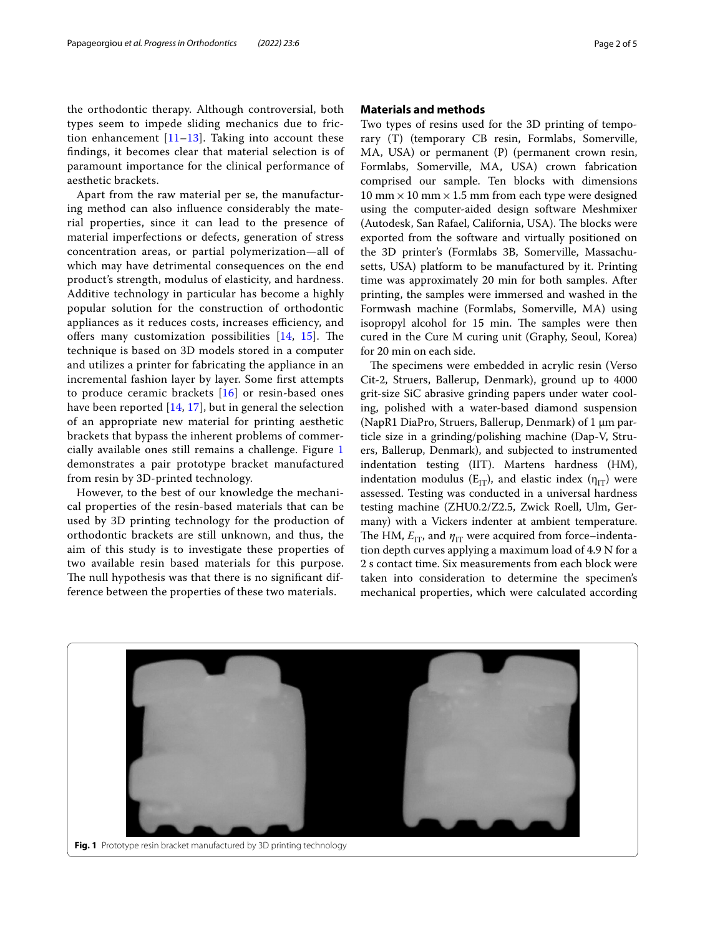the orthodontic therapy. Although controversial, both types seem to impede sliding mechanics due to friction enhancement  $[11-13]$  $[11-13]$  $[11-13]$ . Taking into account these fndings, it becomes clear that material selection is of paramount importance for the clinical performance of aesthetic brackets.

Apart from the raw material per se, the manufacturing method can also infuence considerably the material properties, since it can lead to the presence of material imperfections or defects, generation of stress concentration areas, or partial polymerization—all of which may have detrimental consequences on the end product's strength, modulus of elasticity, and hardness. Additive technology in particular has become a highly popular solution for the construction of orthodontic appliances as it reduces costs, increases efficiency, and offers many customization possibilities  $[14, 15]$  $[14, 15]$  $[14, 15]$  $[14, 15]$  $[14, 15]$ . The technique is based on 3D models stored in a computer and utilizes a printer for fabricating the appliance in an incremental fashion layer by layer. Some frst attempts to produce ceramic brackets [[16](#page-4-14)] or resin-based ones have been reported [[14,](#page-4-12) [17\]](#page-4-15), but in general the selection of an appropriate new material for printing aesthetic brackets that bypass the inherent problems of commercially available ones still remains a challenge. Figure [1](#page-1-0) demonstrates a pair prototype bracket manufactured from resin by 3D-printed technology.

However, to the best of our knowledge the mechanical properties of the resin-based materials that can be used by 3D printing technology for the production of orthodontic brackets are still unknown, and thus, the aim of this study is to investigate these properties of two available resin based materials for this purpose. The null hypothesis was that there is no significant difference between the properties of these two materials.

#### **Materials and methods**

Two types of resins used for the 3D printing of temporary (T) (temporary CB resin, Formlabs, Somerville, MA, USA) or permanent (P) (permanent crown resin, Formlabs, Somerville, MA, USA) crown fabrication comprised our sample. Ten blocks with dimensions  $10$  mm  $\times$  10 mm  $\times$  1.5 mm from each type were designed using the computer-aided design software Meshmixer (Autodesk, San Rafael, California, USA). The blocks were exported from the software and virtually positioned on the 3D printer's (Formlabs 3B, Somerville, Massachusetts, USA) platform to be manufactured by it. Printing time was approximately 20 min for both samples. After printing, the samples were immersed and washed in the Formwash machine (Formlabs, Somerville, MA) using isopropyl alcohol for 15 min. The samples were then cured in the Cure M curing unit (Graphy, Seoul, Korea) for 20 min on each side.

The specimens were embedded in acrylic resin (Verso Cit-2, Struers, Ballerup, Denmark), ground up to 4000 grit-size SiC abrasive grinding papers under water cooling, polished with a water-based diamond suspension (NapR1 DiaPro, Struers, Ballerup, Denmark) of  $1 \mu m$  particle size in a grinding/polishing machine (Dap-V, Struers, Ballerup, Denmark), and subjected to instrumented indentation testing (IIT). Martens hardness (HM), indentation modulus ( $E_{IT}$ ), and elastic index ( $\eta_{IT}$ ) were assessed. Testing was conducted in a universal hardness testing machine (ZHU0.2/Z2.5, Zwick Roell, Ulm, Germany) with a Vickers indenter at ambient temperature. The HM,  $E_{IT}$ , and  $\eta_{IT}$  were acquired from force–indentation depth curves applying a maximum load of 4.9 N for a 2 s contact time. Six measurements from each block were taken into consideration to determine the specimen's mechanical properties, which were calculated according

<span id="page-1-0"></span>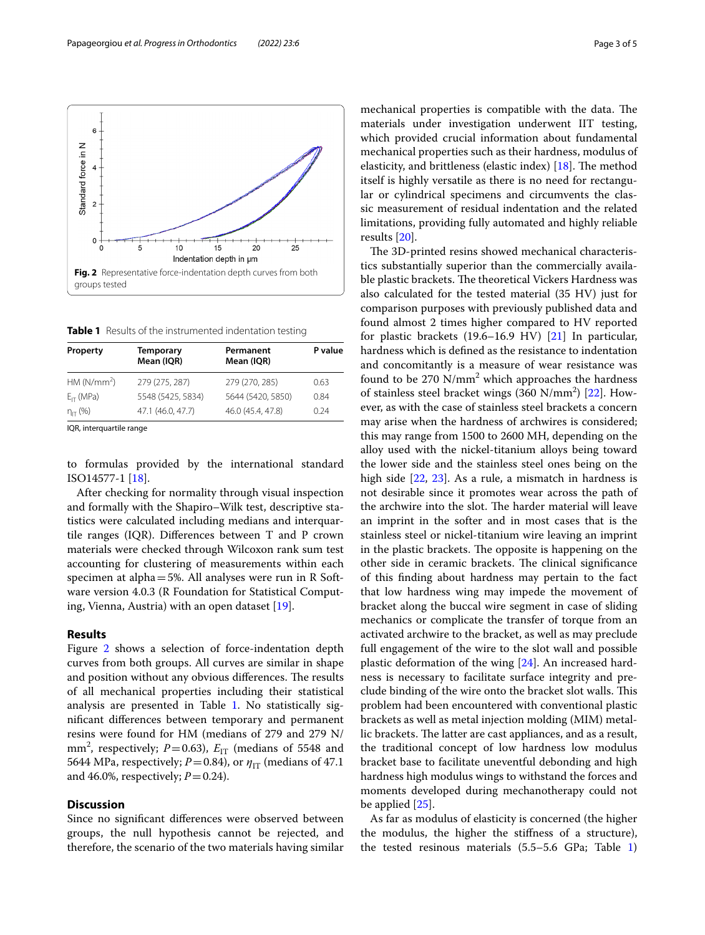to formulas provided by the international standard ISO14577-1 [\[18](#page-4-16)].

 $E_{IT}$  (MPa) 5548 (5425, 5834) 5644 (5420, 5850) 0.84  $n_{\text{IT}}$  (%) 47.1 (46.0, 47.7) 46.0 (45.4, 47.8) 0.24

<span id="page-2-1"></span><span id="page-2-0"></span>**Table 1** Results of the instrumented indentation testing

**Permanent Mean (IQR)**

) 279 (275, 287) 279 (270, 285) 0.63

**P value**

**Mean (IQR)**

After checking for normality through visual inspection and formally with the Shapiro–Wilk test, descriptive statistics were calculated including medians and interquartile ranges (IQR). Diferences between T and P crown materials were checked through Wilcoxon rank sum test accounting for clustering of measurements within each specimen at alpha=5%. All analyses were run in R Software version 4.0.3 (R Foundation for Statistical Computing, Vienna, Austria) with an open dataset [[19\]](#page-4-17).

#### **Results**

IQR, interquartile range

 $HM (N/mm<sup>2</sup>)$ 

**Property Temporary**

Figure [2](#page-2-0) shows a selection of force-indentation depth curves from both groups. All curves are similar in shape and position without any obvious differences. The results of all mechanical properties including their statistical analysis are presented in Table [1.](#page-2-1) No statistically signifcant diferences between temporary and permanent resins were found for HM (medians of 279 and 279 N/ mm<sup>2</sup>, respectively;  $P=0.63$ ),  $E_{IT}$  (medians of 5548 and 5644 MPa, respectively;  $P = 0.84$ ), or  $\eta_{\text{IT}}$  (medians of 47.1) and 46.0%, respectively;  $P=0.24$ ).

#### **Discussion**

Since no signifcant diferences were observed between groups, the null hypothesis cannot be rejected, and therefore, the scenario of the two materials having similar mechanical properties is compatible with the data. The materials under investigation underwent IIT testing, which provided crucial information about fundamental mechanical properties such as their hardness, modulus of elasticity, and brittleness (elastic index)  $[18]$  $[18]$ . The method itself is highly versatile as there is no need for rectangular or cylindrical specimens and circumvents the classic measurement of residual indentation and the related limitations, providing fully automated and highly reliable results [\[20](#page-4-18)].

The 3D-printed resins showed mechanical characteristics substantially superior than the commercially available plastic brackets. The theoretical Vickers Hardness was also calculated for the tested material (35 HV) just for comparison purposes with previously published data and found almost 2 times higher compared to HV reported for plastic brackets (19.6–16.9 HV) [[21](#page-4-19)] In particular, hardness which is defned as the resistance to indentation and concomitantly is a measure of wear resistance was found to be  $270 \text{ N/mm}^2$  which approaches the hardness of stainless steel bracket wings (360 N/mm<sup>2</sup>) [[22\]](#page-4-20). However, as with the case of stainless steel brackets a concern may arise when the hardness of archwires is considered; this may range from 1500 to 2600 MH, depending on the alloy used with the nickel-titanium alloys being toward the lower side and the stainless steel ones being on the high side [\[22](#page-4-20), [23\]](#page-4-21). As a rule, a mismatch in hardness is not desirable since it promotes wear across the path of the archwire into the slot. The harder material will leave an imprint in the softer and in most cases that is the stainless steel or nickel-titanium wire leaving an imprint in the plastic brackets. The opposite is happening on the other side in ceramic brackets. The clinical significance of this fnding about hardness may pertain to the fact that low hardness wing may impede the movement of bracket along the buccal wire segment in case of sliding mechanics or complicate the transfer of torque from an activated archwire to the bracket, as well as may preclude full engagement of the wire to the slot wall and possible plastic deformation of the wing [[24](#page-4-22)]. An increased hardness is necessary to facilitate surface integrity and preclude binding of the wire onto the bracket slot walls. This problem had been encountered with conventional plastic brackets as well as metal injection molding (MIM) metallic brackets. The latter are cast appliances, and as a result, the traditional concept of low hardness low modulus bracket base to facilitate uneventful debonding and high hardness high modulus wings to withstand the forces and moments developed during mechanotherapy could not be applied [\[25](#page-4-23)].

As far as modulus of elasticity is concerned (the higher the modulus, the higher the stifness of a structure), the tested resinous materials (5.5–5.6 GPa; Table [1](#page-2-1))

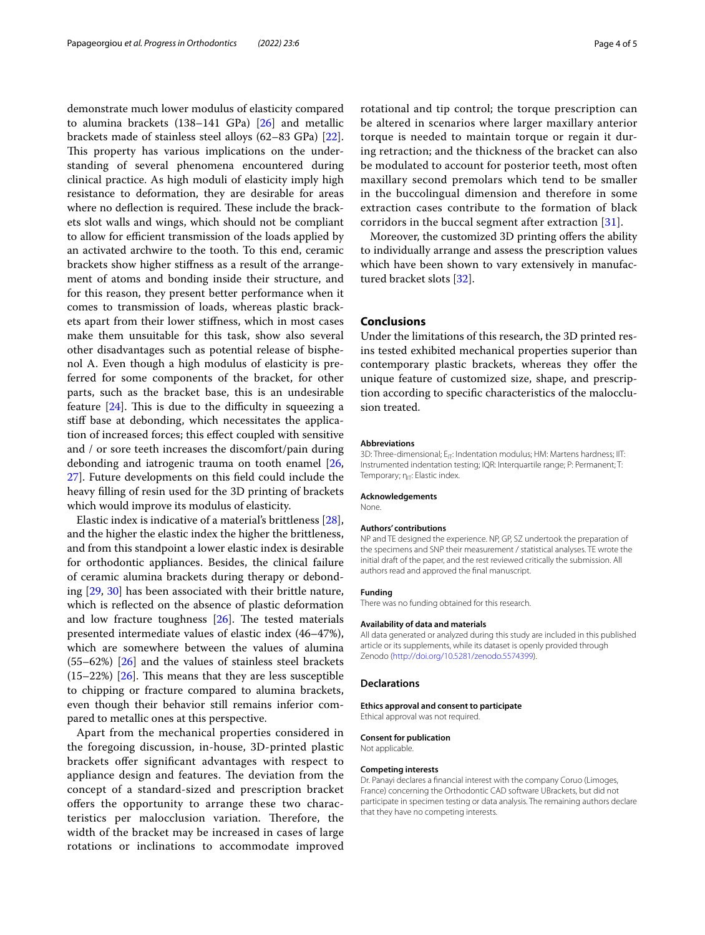demonstrate much lower modulus of elasticity compared to alumina brackets (138–141 GPa) [[26](#page-4-24)] and metallic brackets made of stainless steel alloys (62–83 GPa) [\[22](#page-4-20)]. This property has various implications on the understanding of several phenomena encountered during clinical practice. As high moduli of elasticity imply high resistance to deformation, they are desirable for areas where no deflection is required. These include the brackets slot walls and wings, which should not be compliant to allow for efficient transmission of the loads applied by an activated archwire to the tooth. To this end, ceramic brackets show higher stifness as a result of the arrangement of atoms and bonding inside their structure, and for this reason, they present better performance when it comes to transmission of loads, whereas plastic brackets apart from their lower stifness, which in most cases make them unsuitable for this task, show also several other disadvantages such as potential release of bisphenol A. Even though a high modulus of elasticity is preferred for some components of the bracket, for other parts, such as the bracket base, this is an undesirable feature  $[24]$ . This is due to the difficulty in squeezing a stif base at debonding, which necessitates the application of increased forces; this efect coupled with sensitive and / or sore teeth increases the discomfort/pain during debonding and iatrogenic trauma on tooth enamel [\[26](#page-4-24), [27\]](#page-4-25). Future developments on this feld could include the heavy flling of resin used for the 3D printing of brackets which would improve its modulus of elasticity.

Elastic index is indicative of a material's brittleness [\[28](#page-4-26)], and the higher the elastic index the higher the brittleness, and from this standpoint a lower elastic index is desirable for orthodontic appliances. Besides, the clinical failure of ceramic alumina brackets during therapy or debonding [[29](#page-4-27), [30](#page-4-28)] has been associated with their brittle nature, which is refected on the absence of plastic deformation and low fracture toughness  $[26]$ . The tested materials presented intermediate values of elastic index (46–47%), which are somewhere between the values of alumina (55–62%) [\[26](#page-4-24)] and the values of stainless steel brackets  $(15–22%)$   $[26]$  $[26]$ . This means that they are less susceptible to chipping or fracture compared to alumina brackets, even though their behavior still remains inferior compared to metallic ones at this perspective.

Apart from the mechanical properties considered in the foregoing discussion, in-house, 3D-printed plastic brackets ofer signifcant advantages with respect to appliance design and features. The deviation from the concept of a standard-sized and prescription bracket offers the opportunity to arrange these two characteristics per malocclusion variation. Therefore, the width of the bracket may be increased in cases of large rotations or inclinations to accommodate improved

rotational and tip control; the torque prescription can be altered in scenarios where larger maxillary anterior torque is needed to maintain torque or regain it during retraction; and the thickness of the bracket can also be modulated to account for posterior teeth, most often maxillary second premolars which tend to be smaller in the buccolingual dimension and therefore in some extraction cases contribute to the formation of black corridors in the buccal segment after extraction [[31](#page-4-29)].

Moreover, the customized 3D printing offers the ability to individually arrange and assess the prescription values which have been shown to vary extensively in manufactured bracket slots [[32\]](#page-4-30).

#### **Conclusions**

Under the limitations of this research, the 3D printed resins tested exhibited mechanical properties superior than contemporary plastic brackets, whereas they offer the unique feature of customized size, shape, and prescription according to specifc characteristics of the malocclusion treated.

#### **Abbreviations**

3D: Three-dimensional; E<sub>IT</sub>: Indentation modulus; HM: Martens hardness; IIT: Instrumented indentation testing; IQR: Interquartile range; P: Permanent; T: Temporary; η<sub>ΙΤ</sub>: Elastic index.

#### **Acknowledgements**

None.

#### **Authors' contributions**

NP and TE designed the experience. NP, GP, SZ undertook the preparation of the specimens and SNP their measurement / statistical analyses. TE wrote the initial draft of the paper, and the rest reviewed critically the submission. All authors read and approved the fnal manuscript.

#### **Funding**

There was no funding obtained for this research.

#### **Availability of data and materials**

All data generated or analyzed during this study are included in this published article or its supplements, while its dataset is openly provided through Zenodo [\(http://doi.org/10.5281/zenodo.5574399\)](http://doi.org/10.5281/zenodo.5574399).

#### **Declarations**

**Ethics approval and consent to participate**

#### Ethical approval was not required.

#### **Consent for publication**

Not applicable.

#### **Competing interests**

Dr. Panayi declares a fnancial interest with the company Coruo (Limoges, France) concerning the Orthodontic CAD software UBrackets, but did not participate in specimen testing or data analysis. The remaining authors declare that they have no competing interests.